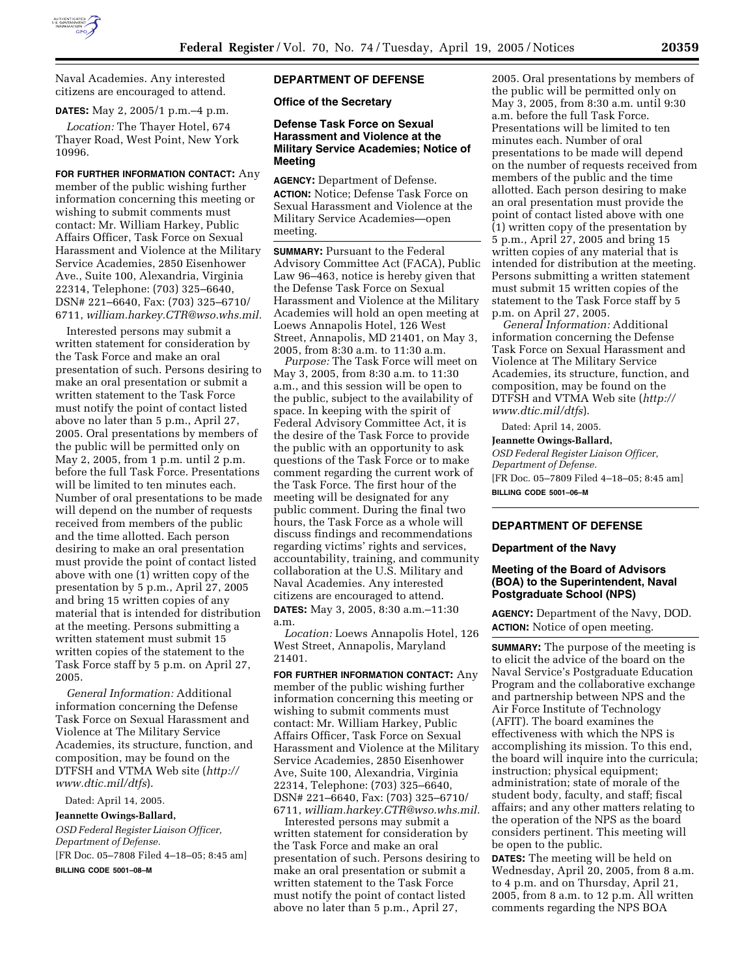

Naval Academies. Any interested citizens are encouraged to attend.

## **DATES:** May 2, 2005/1 p.m.–4 p.m.

*Location:* The Thayer Hotel, 674 Thayer Road, West Point, New York 10996.

**FOR FURTHER INFORMATION CONTACT:** Any member of the public wishing further information concerning this meeting or wishing to submit comments must contact: Mr. William Harkey, Public Affairs Officer, Task Force on Sexual Harassment and Violence at the Military Service Academies, 2850 Eisenhower Ave., Suite 100, Alexandria, Virginia 22314, Telephone: (703) 325–6640, DSN# 221–6640, Fax: (703) 325–6710/ 6711, *william.harkey.CTR@wso.whs.mil.*

Interested persons may submit a written statement for consideration by the Task Force and make an oral presentation of such. Persons desiring to make an oral presentation or submit a written statement to the Task Force must notify the point of contact listed above no later than 5 p.m., April 27, 2005. Oral presentations by members of the public will be permitted only on May 2, 2005, from 1 p.m. until 2 p.m. before the full Task Force. Presentations will be limited to ten minutes each. Number of oral presentations to be made will depend on the number of requests received from members of the public and the time allotted. Each person desiring to make an oral presentation must provide the point of contact listed above with one (1) written copy of the presentation by 5 p.m., April 27, 2005 and bring 15 written copies of any material that is intended for distribution at the meeting. Persons submitting a written statement must submit 15 written copies of the statement to the Task Force staff by 5 p.m. on April 27, 2005.

*General Information:* Additional information concerning the Defense Task Force on Sexual Harassment and Violence at The Military Service Academies, its structure, function, and composition, may be found on the DTFSH and VTMA Web site (*http:// www.dtic.mil/dtfs*).

Dated: April 14, 2005.

#### **Jeannette Owings-Ballard,**

*OSD Federal Register Liaison Officer, Department of Defense.* [FR Doc. 05–7808 Filed 4–18–05; 8:45 am]

**BILLING CODE 5001–08–M**

# **DEPARTMENT OF DEFENSE**

**Office of the Secretary** 

## **Defense Task Force on Sexual Harassment and Violence at the Military Service Academies; Notice of Meeting**

**AGENCY:** Department of Defense. **ACTION:** Notice; Defense Task Force on Sexual Harassment and Violence at the Military Service Academies—open meeting.

**SUMMARY: Pursuant to the Federal** Advisory Committee Act (FACA), Public Law 96–463, notice is hereby given that the Defense Task Force on Sexual Harassment and Violence at the Military Academies will hold an open meeting at Loews Annapolis Hotel, 126 West Street, Annapolis, MD 21401, on May 3, 2005, from 8:30 a.m. to 11:30 a.m.

*Purpose:* The Task Force will meet on May 3, 2005, from 8:30 a.m. to 11:30 a.m., and this session will be open to the public, subject to the availability of space. In keeping with the spirit of Federal Advisory Committee Act, it is the desire of the Task Force to provide the public with an opportunity to ask questions of the Task Force or to make comment regarding the current work of the Task Force. The first hour of the meeting will be designated for any public comment. During the final two hours, the Task Force as a whole will discuss findings and recommendations regarding victims' rights and services, accountability, training, and community collaboration at the U.S. Military and Naval Academies. Any interested citizens are encouraged to attend. **DATES:** May 3, 2005, 8:30 a.m.–11:30 a.m.

*Location:* Loews Annapolis Hotel, 126 West Street, Annapolis, Maryland 21401.

**FOR FURTHER INFORMATION CONTACT:** Any member of the public wishing further information concerning this meeting or wishing to submit comments must contact: Mr. William Harkey, Public Affairs Officer, Task Force on Sexual Harassment and Violence at the Military Service Academies, 2850 Eisenhower Ave, Suite 100, Alexandria, Virginia 22314, Telephone: (703) 325–6640, DSN# 221–6640, Fax: (703) 325–6710/ 6711, *william.harkey.CTR@wso.whs.mil.*

Interested persons may submit a written statement for consideration by the Task Force and make an oral presentation of such. Persons desiring to make an oral presentation or submit a written statement to the Task Force must notify the point of contact listed above no later than 5 p.m., April 27,

2005. Oral presentations by members of the public will be permitted only on May 3, 2005, from 8:30 a.m. until 9:30 a.m. before the full Task Force. Presentations will be limited to ten minutes each. Number of oral presentations to be made will depend on the number of requests received from members of the public and the time allotted. Each person desiring to make an oral presentation must provide the point of contact listed above with one (1) written copy of the presentation by 5 p.m., April 27, 2005 and bring 15 written copies of any material that is intended for distribution at the meeting. Persons submitting a written statement must submit 15 written copies of the statement to the Task Force staff by 5 p.m. on April 27, 2005.

*General Information:* Additional information concerning the Defense Task Force on Sexual Harassment and Violence at The Military Service Academies, its structure, function, and composition, may be found on the DTFSH and VTMA Web site (*http:// www.dtic.mil/dtfs*).

Dated: April 14, 2005.

#### **Jeannette Owings-Ballard,**

*OSD Federal Register Liaison Officer, Department of Defense.* [FR Doc. 05–7809 Filed 4–18–05; 8:45 am] **BILLING CODE 5001–06–M**

### **DEPARTMENT OF DEFENSE**

### **Department of the Navy**

## **Meeting of the Board of Advisors (BOA) to the Superintendent, Naval Postgraduate School (NPS)**

**AGENCY:** Department of the Navy, DOD. **ACTION:** Notice of open meeting.

**SUMMARY:** The purpose of the meeting is to elicit the advice of the board on the Naval Service's Postgraduate Education Program and the collaborative exchange and partnership between NPS and the Air Force Institute of Technology (AFIT). The board examines the effectiveness with which the NPS is accomplishing its mission. To this end, the board will inquire into the curricula; instruction; physical equipment; administration; state of morale of the student body, faculty, and staff; fiscal affairs; and any other matters relating to the operation of the NPS as the board considers pertinent. This meeting will be open to the public.

**DATES:** The meeting will be held on Wednesday, April 20, 2005, from 8 a.m. to 4 p.m. and on Thursday, April 21, 2005, from 8 a.m. to 12 p.m. All written comments regarding the NPS BOA